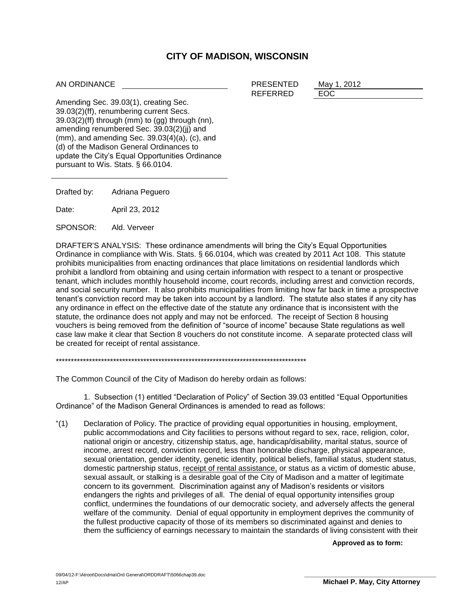## **CITY OF MADISON, WISCONSIN**

AN ORDINANCE

PRESENTED May 1, 2012 REFERRED EOC

Amending Sec. 39.03(1), creating Sec. 39.03(2)(ff), renumbering current Secs.  $39.03(2)$ (ff) through (mm) to (gg) through (nn), amending renumbered Sec. 39.03(2)(jj) and (mm), and amending Sec. 39.03(4)(a), (c), and (d) of the Madison General Ordinances to update the City's Equal Opportunities Ordinance pursuant to Wis. Stats. § 66.0104.

Drafted by: Adriana Peguero

Date: April 23, 2012

SPONSOR: Ald. Verveer

DRAFTER'S ANALYSIS: These ordinance amendments will bring the City's Equal Opportunities Ordinance in compliance with Wis. Stats. § 66.0104, which was created by 2011 Act 108. This statute prohibits municipalities from enacting ordinances that place limitations on residential landlords which prohibit a landlord from obtaining and using certain information with respect to a tenant or prospective tenant, which includes monthly household income, court records, including arrest and conviction records, and social security number. It also prohibits municipalities from limiting how far back in time a prospective tenant's conviction record may be taken into account by a landlord. The statute also states if any city has any ordinance in effect on the effective date of the statute any ordinance that is inconsistent with the statute, the ordinance does not apply and may not be enforced. The receipt of Section 8 housing vouchers is being removed from the definition of "source of income" because State regulations as well case law make it clear that Section 8 vouchers do not constitute income. A separate protected class will be created for receipt of rental assistance.

\*\*\*\*\*\*\*\*\*\*\*\*\*\*\*\*\*\*\*\*\*\*\*\*\*\*\*\*\*\*\*\*\*\*\*\*\*\*\*\*\*\*\*\*\*\*\*\*\*\*\*\*\*\*\*\*\*\*\*\*\*\*\*\*\*\*\*\*\*\*\*\*\*\*\*\*\*\*\*\*\*\*\*

The Common Council of the City of Madison do hereby ordain as follows:

1. Subsection (1) entitled "Declaration of Policy" of Section 39.03 entitled "Equal Opportunities Ordinance" of the Madison General Ordinances is amended to read as follows:

"(1) Declaration of Policy. The practice of providing equal opportunities in housing, employment, public accommodations and City facilities to persons without regard to sex, race, religion, color, national origin or ancestry, citizenship status, age, handicap/disability, marital status, source of income, arrest record, conviction record, less than honorable discharge, physical appearance, sexual orientation, gender identity, genetic identity, political beliefs, familial status, student status, domestic partnership status, receipt of rental assistance, or status as a victim of domestic abuse, sexual assault, or stalking is a desirable goal of the City of Madison and a matter of legitimate concern to its government. Discrimination against any of Madison's residents or visitors endangers the rights and privileges of all. The denial of equal opportunity intensifies group conflict, undermines the foundations of our democratic society, and adversely affects the general welfare of the community. Denial of equal opportunity in employment deprives the community of the fullest productive capacity of those of its members so discriminated against and denies to them the sufficiency of earnings necessary to maintain the standards of living consistent with their

**Approved as to form:**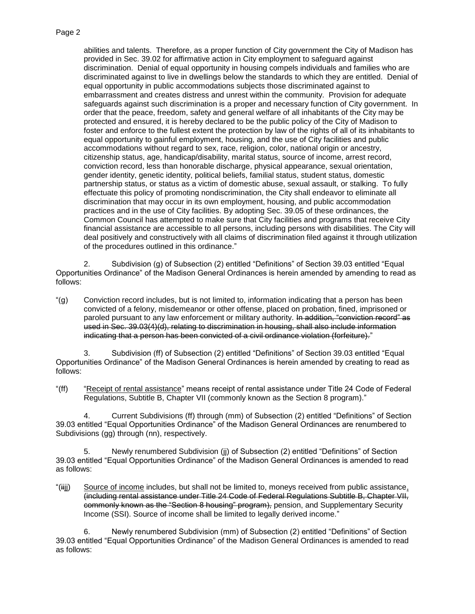## Page 2

abilities and talents. Therefore, as a proper function of City government the City of Madison has provided in Sec. 39.02 for affirmative action in City employment to safeguard against discrimination. Denial of equal opportunity in housing compels individuals and families who are discriminated against to live in dwellings below the standards to which they are entitled. Denial of equal opportunity in public accommodations subjects those discriminated against to embarrassment and creates distress and unrest within the community. Provision for adequate safeguards against such discrimination is a proper and necessary function of City government. In order that the peace, freedom, safety and general welfare of all inhabitants of the City may be protected and ensured, it is hereby declared to be the public policy of the City of Madison to foster and enforce to the fullest extent the protection by law of the rights of all of its inhabitants to equal opportunity to gainful employment, housing, and the use of City facilities and public accommodations without regard to sex, race, religion, color, national origin or ancestry, citizenship status, age, handicap/disability, marital status, source of income, arrest record, conviction record, less than honorable discharge, physical appearance, sexual orientation, gender identity, genetic identity, political beliefs, familial status, student status, domestic partnership status, or status as a victim of domestic abuse, sexual assault, or stalking. To fully effectuate this policy of promoting nondiscrimination, the City shall endeavor to eliminate all discrimination that may occur in its own employment, housing, and public accommodation practices and in the use of City facilities. By adopting Sec. 39.05 of these ordinances, the Common Council has attempted to make sure that City facilities and programs that receive City financial assistance are accessible to all persons, including persons with disabilities. The City will deal positively and constructively with all claims of discrimination filed against it through utilization of the procedures outlined in this ordinance."

2. Subdivision (g) of Subsection (2) entitled "Definitions" of Section 39.03 entitled "Equal Opportunities Ordinance" of the Madison General Ordinances is herein amended by amending to read as follows:

"(g) Conviction record includes, but is not limited to, information indicating that a person has been convicted of a felony, misdemeanor or other offense, placed on probation, fined, imprisoned or paroled pursuant to any law enforcement or military authority. In addition, "conviction record" as used in Sec. 39.03(4)(d), relating to discrimination in housing, shall also include information indicating that a person has been convicted of a civil ordinance violation (forfeiture)."

3. Subdivision (ff) of Subsection (2) entitled "Definitions" of Section 39.03 entitled "Equal Opportunities Ordinance" of the Madison General Ordinances is herein amended by creating to read as follows:

"(ff) "Receipt of rental assistance" means receipt of rental assistance under Title 24 Code of Federal Regulations, Subtitle B, Chapter VII (commonly known as the Section 8 program)."

4. Current Subdivisions (ff) through (mm) of Subsection (2) entitled "Definitions" of Section 39.03 entitled "Equal Opportunities Ordinance" of the Madison General Ordinances are renumbered to Subdivisions (gg) through (nn), respectively.

5. Newly renumbered Subdivision (jj) of Subsection (2) entitled "Definitions" of Section 39.03 entitled "Equal Opportunities Ordinance" of the Madison General Ordinances is amended to read as follows:

"(iijj) Source of income includes, but shall not be limited to, moneys received from public assistance, (including rental assistance under Title 24 Code of Federal Regulations Subtitle B, Chapter VII, commonly known as the "Section 8 housing" program), pension, and Supplementary Security Income (SSI). Source of income shall be limited to legally derived income."

6. Newly renumbered Subdivision (mm) of Subsection (2) entitled "Definitions" of Section 39.03 entitled "Equal Opportunities Ordinance" of the Madison General Ordinances is amended to read as follows: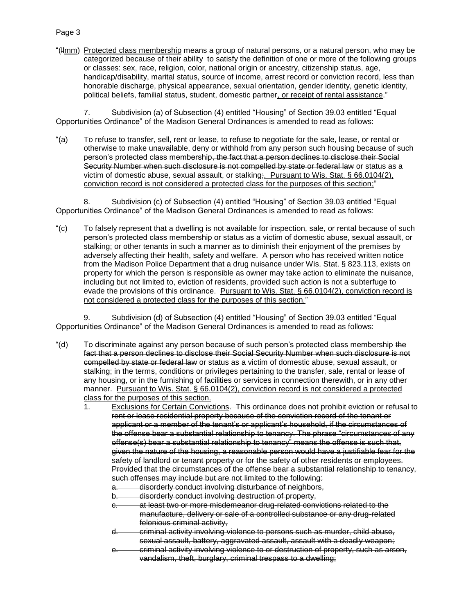## Page 3

"(Hmm) Protected class membership means a group of natural persons, or a natural person, who may be categorized because of their ability to satisfy the definition of one or more of the following groups or classes: sex, race, religion, color, national origin or ancestry, citizenship status, age, handicap/disability, marital status, source of income, arrest record or conviction record, less than honorable discharge, physical appearance, sexual orientation, gender identity, genetic identity, political beliefs, familial status, student, domestic partner, or receipt of rental assistance."

7. Subdivision (a) of Subsection (4) entitled "Housing" of Section 39.03 entitled "Equal Opportunities Ordinance" of the Madison General Ordinances is amended to read as follows:

"(a) To refuse to transfer, sell, rent or lease, to refuse to negotiate for the sale, lease, or rental or otherwise to make unavailable, deny or withhold from any person such housing because of such person's protected class membership, the fact that a person declines to disclose their Social Security Number when such disclosure is not compelled by state or federal law or status as a victim of domestic abuse, sexual assault, or stalking;. Pursuant to Wis. Stat. § 66.0104(2), conviction record is not considered a protected class for the purposes of this section;"

8. Subdivision (c) of Subsection (4) entitled "Housing" of Section 39.03 entitled "Equal Opportunities Ordinance" of the Madison General Ordinances is amended to read as follows:

"(c) To falsely represent that a dwelling is not available for inspection, sale, or rental because of such person's protected class membership or status as a victim of domestic abuse, sexual assault, or stalking; or other tenants in such a manner as to diminish their enjoyment of the premises by adversely affecting their health, safety and welfare. A person who has received written notice from the Madison Police Department that a drug nuisance under Wis. Stat. § 823.113, exists on property for which the person is responsible as owner may take action to eliminate the nuisance, including but not limited to, eviction of residents, provided such action is not a subterfuge to evade the provisions of this ordinance. Pursuant to Wis. Stat. § 66.0104(2), conviction record is not considered a protected class for the purposes of this section."

9. Subdivision (d) of Subsection (4) entitled "Housing" of Section 39.03 entitled "Equal Opportunities Ordinance" of the Madison General Ordinances is amended to read as follows:

- "(d) To discriminate against any person because of such person's protected class membership the fact that a person declines to disclose their Social Security Number when such disclosure is not compelled by state or federal law or status as a victim of domestic abuse, sexual assault, or stalking; in the terms, conditions or privileges pertaining to the transfer, sale, rental or lease of any housing, or in the furnishing of facilities or services in connection therewith, or in any other manner. Pursuant to Wis. Stat. § 66.0104(2), conviction record is not considered a protected class for the purposes of this section.
	- 1. Exclusions for Certain Convictions. This ordinance does not prohibit eviction or refusal to rent or lease residential property because of the conviction record of the tenant or applicant or a member of the tenant's or applicant's household, if the circumstances of the offense bear a substantial relationship to tenancy. The phrase "circumstances of any offense(s) bear a substantial relationship to tenancy" means the offense is such that, given the nature of the housing, a reasonable person would have a justifiable fear for the safety of landlord or tenant property or for the safety of other residents or employees. Provided that the circumstances of the offense bear a substantial relationship to tenancy, such offenses may include but are not limited to the following:
		- disorderly conduct involving disturbance of neighbors,
		- b. disorderly conduct involving destruction of property,
		- at least two or more misdemeanor drug-related convictions related to the manufacture, delivery or sale of a controlled substance or any drug-related felonious criminal activity,
		- d. criminal activity involving violence to persons such as murder, child abuse, sexual assault, battery, aggravated assault, assault with a deadly weapon;
		- e. criminal activity involving violence to or destruction of property, such as arson, vandalism, theft, burglary, criminal trespass to a dwelling;